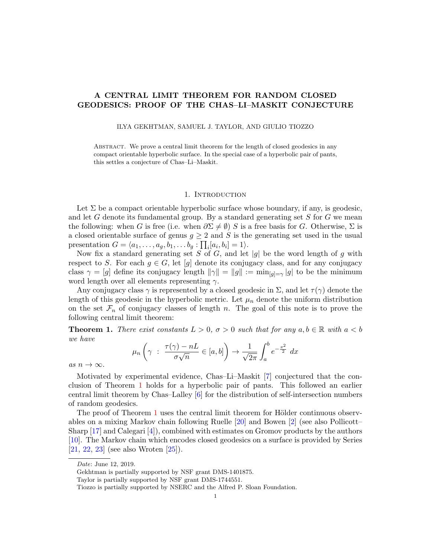# A CENTRAL LIMIT THEOREM FOR RANDOM CLOSED GEODESICS: PROOF OF THE CHAS–LI–MASKIT CONJECTURE

ILYA GEKHTMAN, SAMUEL J. TAYLOR, AND GIULIO TIOZZO

Abstract. We prove a central limit theorem for the length of closed geodesics in any compact orientable hyperbolic surface. In the special case of a hyperbolic pair of pants, this settles a conjecture of Chas–Li–Maskit.

#### 1. Introduction

Let  $\Sigma$  be a compact orientable hyperbolic surface whose boundary, if any, is geodesic, and let  $G$  denote its fundamental group. By a standard generating set  $S$  for  $G$  we mean the following: when G is free (i.e. when  $\partial \Sigma \neq \emptyset$ ) S is a free basis for G. Otherwise,  $\Sigma$  is a closed orientable surface of genus  $g \geq 2$  and S is the generating set used in the usual presentation  $G = \langle a_1, \ldots, a_g, b_1, \ldots, b_g : \prod_i [a_i, b_i] = 1 \rangle$ .

Now fix a standard generating set S of G, and let  $|g|$  be the word length of g with respect to S. For each  $g \in G$ , let  $[g]$  denote its conjugacy class, and for any conjugacy class  $\gamma = [g]$  define its conjugacy length  $\|\gamma\| = \|g\| := \min_{[g]=\gamma} |g|$  to be the minimum word length over all elements representing  $\gamma$ .

Any conjugacy class  $\gamma$  is represented by a closed geodesic in  $\Sigma$ , and let  $\tau(\gamma)$  denote the length of this geodesic in the hyperbolic metric. Let  $\mu_n$  denote the uniform distribution on the set  $\mathcal{F}_n$  of conjugacy classes of length n. The goal of this note is to prove the following central limit theorem:

<span id="page-0-0"></span>**Theorem 1.** There exist constants  $L > 0$ ,  $\sigma > 0$  such that for any  $a, b \in \mathbb{R}$  with  $a < b$ we have

$$
\mu_n\left(\gamma \ : \ \frac{\tau(\gamma)-nL}{\sigma\sqrt{n}} \in [a,b]\right) \to \frac{1}{\sqrt{2\pi}}\int_a^b e^{-\frac{x^2}{2}} dx
$$

as  $n \to \infty$ .

Motivated by experimental evidence, Chas–Li–Maskit [\[7\]](#page-13-0) conjectured that the conclusion of Theorem [1](#page-0-0) holds for a hyperbolic pair of pants. This followed an earlier central limit theorem by Chas–Lalley [\[6\]](#page-13-1) for the distribution of self-intersection numbers of random geodesics.

The proof of Theorem [1](#page-0-0) uses the central limit theorem for Hölder continuous observables on a mixing Markov chain following Ruelle [\[20\]](#page-13-2) and Bowen [\[2\]](#page-13-3) (see also Pollicott– Sharp  $[17]$  and Calegari  $[4]$ , combined with estimates on Gromov products by the authors [\[10\]](#page-13-6). The Markov chain which encodes closed geodesics on a surface is provided by Series [\[21,](#page-13-7) [22,](#page-13-8) [23\]](#page-14-0) (see also Wroten [\[25\]](#page-14-1)).

Date: June 12, 2019.

Gekhtman is partially supported by NSF grant DMS-1401875.

Taylor is partially supported by NSF grant DMS-1744551.

Tiozzo is partially supported by NSERC and the Alfred P. Sloan Foundation.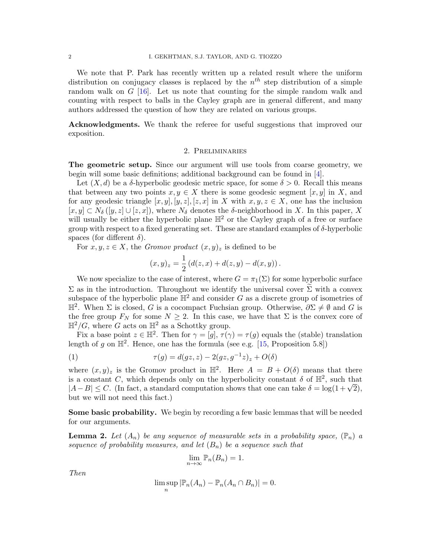We note that P. Park has recently written up a related result where the uniform distribution on conjugacy classes is replaced by the  $n^{th}$  step distribution of a simple random walk on G [\[16\]](#page-13-9). Let us note that counting for the simple random walk and counting with respect to balls in the Cayley graph are in general different, and many authors addressed the question of how they are related on various groups.

Acknowledgments. We thank the referee for useful suggestions that improved our exposition.

## 2. Preliminaries

The geometric setup. Since our argument will use tools from coarse geometry, we begin will some basic definitions; additional background can be found in [\[4\]](#page-13-5).

Let  $(X, d)$  be a  $\delta$ -hyperbolic geodesic metric space, for some  $\delta > 0$ . Recall this means that between any two points  $x, y \in X$  there is some geodesic segment  $[x, y]$  in X, and for any geodesic triangle  $[x, y], [y, z], [z, x]$  in X with  $x, y, z \in X$ , one has the inclusion  $[x, y] \subset N_{\delta}([y, z] \cup [z, x])$ , where  $N_{\delta}$  denotes the  $\delta$ -neighborhood in X. In this paper, X will usually be either the hyperbolic plane  $\mathbb{H}^2$  or the Cayley graph of a free or surface group with respect to a fixed generating set. These are standard examples of  $\delta$ -hyperbolic spaces (for different  $\delta$ ).

For  $x, y, z \in X$ , the Gromov product  $(x, y)_z$  is defined to be

$$
(x,y)_z = \frac{1}{2} (d(z,x) + d(z,y) - d(x,y)).
$$

We now specialize to the case of interest, where  $G = \pi_1(\Sigma)$  for some hyperbolic surface  $\Sigma$  as in the introduction. Throughout we identify the universal cover  $\Sigma$  with a convex subspace of the hyperbolic plane  $\mathbb{H}^2$  and consider G as a discrete group of isometries of  $\mathbb{H}^2$ . When Σ is closed, G is a cocompact Fuchsian group. Otherwise,  $\partial \Sigma \neq \emptyset$  and G is the free group  $F_N$  for some  $N \geq 2$ . In this case, we have that  $\Sigma$  is the convex core of  $\mathbb{H}^2/G$ , where G acts on  $\mathbb{H}^2$  as a Schottky group.

Fix a base point  $z \in \mathbb{H}^2$ . Then for  $\gamma = [g], \tau(\gamma) = \tau(g)$  equals the (stable) translation length of g on  $\mathbb{H}^2$ . Hence, one has the formula (see e.g. [\[15,](#page-13-10) Proposition 5.8])

<span id="page-1-1"></span>(1) 
$$
\tau(g) = d(gz, z) - 2(gz, g^{-1}z)_z + O(\delta)
$$

where  $(x, y)_z$  is the Gromov product in  $\mathbb{H}^2$ . Here  $A = B + O(\delta)$  means that there is a constant C, which depends only on the hyperbolicity constant  $\delta$  of  $\mathbb{H}^2$ , such that Is a constant C, which depends only on the hyperbolicity constant  $\delta$  of  $\mathbb{H}^2$ , such that  $|A - B| \leq C$ . (In fact, a standard computation shows that one can take  $\delta = \log(1 + \sqrt{2})$ , but we will not need this fact.)

Some basic probability. We begin by recording a few basic lemmas that will be needed for our arguments.

<span id="page-1-0"></span>**Lemma 2.** Let  $(A_n)$  be any sequence of measurable sets in a probability space,  $(\mathbb{P}_n)$  a sequence of probability measures, and let  $(B_n)$  be a sequence such that

$$
\lim_{n\to\infty} \mathbb{P}_n(B_n)=1.
$$

Then

$$
\limsup_{n} |\mathbb{P}_n(A_n) - \mathbb{P}_n(A_n \cap B_n)| = 0.
$$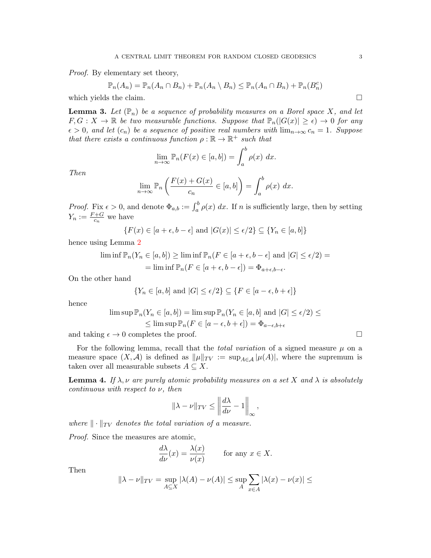Proof. By elementary set theory,

$$
\mathbb{P}_n(A_n) = \mathbb{P}_n(A_n \cap B_n) + \mathbb{P}_n(A_n \setminus B_n) \le \mathbb{P}_n(A_n \cap B_n) + \mathbb{P}_n(B_n^c)
$$

which yields the claim.  $\Box$ 

<span id="page-2-0"></span>**Lemma 3.** Let  $(\mathbb{P}_n)$  be a sequence of probability measures on a Borel space X, and let  $F, G: X \to \mathbb{R}$  be two measurable functions. Suppose that  $\mathbb{P}_n(|G(x)| \geq \epsilon) \to 0$  for any  $\epsilon > 0$ , and let  $(c_n)$  be a sequence of positive real numbers with  $\lim_{n\to\infty} c_n = 1$ . Suppose that there exists a continuous function  $\rho : \mathbb{R} \to \mathbb{R}^+$  such that

$$
\lim_{n \to \infty} \mathbb{P}_n(F(x) \in [a, b]) = \int_a^b \rho(x) \, dx.
$$

Then

$$
\lim_{n \to \infty} \mathbb{P}_n \left( \frac{F(x) + G(x)}{c_n} \in [a, b] \right) = \int_a^b \rho(x) \ dx.
$$

*Proof.* Fix  $\epsilon > 0$ , and denote  $\Phi_{a,b} := \int_a^b \rho(x) dx$ . If n is sufficiently large, then by setting  $Y_n := \frac{F+G}{c_n}$  we have

$$
\{F(x) \in [a+\epsilon, b-\epsilon] \text{ and } |G(x)| \le \epsilon/2\} \subseteq \{Y_n \in [a, b]\}
$$

hence using Lemma [2](#page-1-0)

$$
\liminf \mathbb{P}_n(Y_n \in [a, b]) \ge \liminf \mathbb{P}_n(F \in [a + \epsilon, b - \epsilon] \text{ and } |G| \le \epsilon/2) =
$$
  
= 
$$
\liminf \mathbb{P}_n(F \in [a + \epsilon, b - \epsilon]) = \Phi_{a + \epsilon, b - \epsilon}.
$$

On the other hand

$$
\{Y_n \in [a, b] \text{ and } |G| \le \epsilon/2\} \subseteq \{F \in [a - \epsilon, b + \epsilon]\}
$$

hence

$$
\limsup \mathbb{P}_n(Y_n \in [a, b]) = \limsup \mathbb{P}_n(Y_n \in [a, b] \text{ and } |G| \le \epsilon/2) \le
$$
  

$$
\le \limsup \mathbb{P}_n(F \in [a - \epsilon, b + \epsilon]) = \Phi_{a - \epsilon, b + \epsilon}
$$

and taking  $\epsilon \to 0$  completes the proof.

For the following lemma, recall that the *total variation* of a signed measure  $\mu$  on a measure space  $(X, \mathcal{A})$  is defined as  $\|\mu\|_{TV} := \sup_{A \in \mathcal{A}} |\mu(A)|$ , where the supremum is taken over all measurable subsets  $A \subseteq X$ .

<span id="page-2-1"></span>**Lemma 4.** If  $\lambda$ ,  $\nu$  are purely atomic probability measures on a set X and  $\lambda$  is absolutely  $continuous$  with respect to  $\nu$ , then

$$
\|\lambda - \nu\|_{TV} \le \left\|\frac{d\lambda}{d\nu} - 1\right\|_{\infty},
$$

where  $\|\cdot\|_{TV}$  denotes the total variation of a measure.

Proof. Since the measures are atomic,

$$
\frac{d\lambda}{d\nu}(x) = \frac{\lambda(x)}{\nu(x)} \quad \text{for any } x \in X.
$$

Then

$$
\|\lambda - \nu\|_{TV} = \sup_{A \subseteq X} |\lambda(A) - \nu(A)| \le \sup_A \sum_{x \in A} |\lambda(x) - \nu(x)| \le
$$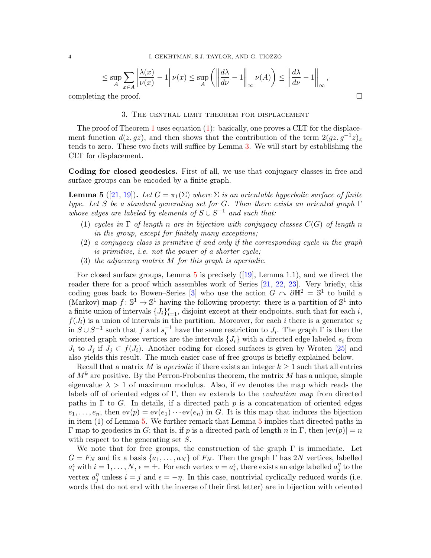$$
\leq \sup_{A} \sum_{x \in A} \left| \frac{\lambda(x)}{\nu(x)} - 1 \right| \nu(x) \leq \sup_{A} \left( \left\| \frac{d\lambda}{d\nu} - 1 \right\|_{\infty} \nu(A) \right) \leq \left\| \frac{d\lambda}{d\nu} - 1 \right\|_{\infty},
$$

completing the proof.

## 3. The central limit theorem for displacement

The proof of Theorem [1](#page-0-0) uses equation [\(1\)](#page-1-1): basically, one proves a CLT for the displacement function  $d(z, gz)$ , and then shows that the contribution of the term  $2(gz, g^{-1}z)_{z}$ tends to zero. These two facts will suffice by Lemma [3.](#page-2-0) We will start by establishing the CLT for displacement.

Coding for closed geodesics. First of all, we use that conjugacy classes in free and surface groups can be encoded by a finite graph.

<span id="page-3-0"></span>**Lemma 5** ([\[21,](#page-13-7) [19\]](#page-13-11)). Let  $G = \pi_1(\Sigma)$  where  $\Sigma$  is an orientable hyperbolic surface of finite type. Let S be a standard generating set for G. Then there exists an oriented graph  $\Gamma$ whose edges are labeled by elements of  $S \cup S^{-1}$  and such that:

- (1) cycles in  $\Gamma$  of length n are in bijection with conjugacy classes  $C(G)$  of length n in the group, except for finitely many exceptions;
- (2) a conjugacy class is primitive if and only if the corresponding cycle in the graph is primitive, i.e. not the power of a shorter cycle;
- (3) the adjacency matrix M for this graph is aperiodic.

Forclosed surface groups, Lemma  $5$  is precisely  $([19]$  $([19]$ , Lemma 1.1), and we direct the reader there for a proof which assembles work of Series [\[21,](#page-13-7) [22,](#page-13-8) [23\]](#page-14-0). Very briefly, this coding goes back to Bowen–Series [\[3\]](#page-13-12) who use the action  $G \cap \partial \mathbb{H}^2 = \mathbb{S}^1$  to build a (Markov) map  $f: \mathbb{S}^1 \to \mathbb{S}^1$  having the following property: there is a partition of  $\mathbb{S}^1$  into a finite union of intervals  $\{J_i\}_{i=1}^r$ , disjoint except at their endpoints, such that for each i,  $f(J_i)$  is a union of intervals in the partition. Moreover, for each i there is a generator  $s_i$ in  $S \cup S^{-1}$  such that f and  $s_i^{-1}$  have the same restriction to  $J_i$ . The graph  $\Gamma$  is then the oriented graph whose vertices are the intervals  $\{J_i\}$  with a directed edge labeled  $s_i$  from  $J_i$  to  $J_j$  if  $J_j \subset f(J_i)$ . Another coding for closed surfaces is given by Wroten [\[25\]](#page-14-1) and also yields this result. The much easier case of free groups is briefly explained below.

Recall that a matrix M is *aperiodic* if there exists an integer  $k \geq 1$  such that all entries of  $M^k$  are positive. By the Perron-Frobenius theorem, the matrix M has a unique, simple eigenvalue  $\lambda > 1$  of maximum modulus. Also, if ev denotes the map which reads the labels off of oriented edges of  $\Gamma$ , then ev extends to the *evaluation map* from directed paths in  $\Gamma$  to G. In details, if a directed path p is a concatenation of oriented edges  $e_1, \ldots, e_n$ , then  $ev(p) = ev(e_1) \cdots ev(e_n)$  in G. It is this map that induces the bijection in item (1) of Lemma [5.](#page-3-0) We further remark that Lemma [5](#page-3-0) implies that directed paths in Γ map to geodesics in G; that is, if p is a directed path of length n in Γ, then  $|ev(p)| = n$ with respect to the generating set S.

We note that for free groups, the construction of the graph  $\Gamma$  is immediate. Let  $G = F_N$  and fix a basis  $\{a_1, \ldots, a_N\}$  of  $F_N$ . Then the graph  $\Gamma$  has 2N vertices, labelled  $a_i^{\epsilon}$  with  $i = 1, \ldots, N$ ,  $\epsilon = \pm$ . For each vertex  $v = a_i^{\epsilon}$ , there exists an edge labelled  $a_j^{\eta}$  $_j^\eta$  to the vertex  $a_i^{\eta}$  $j$ <sup>n</sup> unless  $i = j$  and  $\epsilon = -\eta$ . In this case, nontrivial cyclically reduced words (i.e. words that do not end with the inverse of their first letter) are in bijection with oriented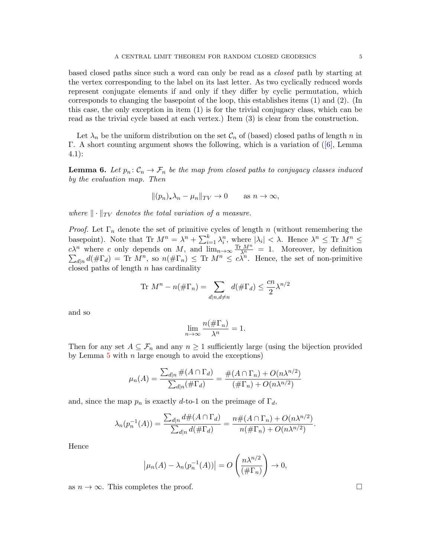based closed paths since such a word can only be read as a closed path by starting at the vertex corresponding to the label on its last letter. As two cyclically reduced words represent conjugate elements if and only if they differ by cyclic permutation, which corresponds to changing the basepoint of the loop, this establishes items (1) and (2). (In this case, the only exception in item (1) is for the trivial conjugacy class, which can be read as the trivial cycle based at each vertex.) Item (3) is clear from the construction.

Let  $\lambda_n$  be the uniform distribution on the set  $\mathcal{C}_n$  of (based) closed paths of length n in Γ. A short counting argument shows the following, which is a variation of([\[6\]](#page-13-1), Lemma 4.1):

<span id="page-4-0"></span>**Lemma 6.** Let  $p_n: \mathcal{C}_n \to \mathcal{F}_n$  be the map from closed paths to conjugacy classes induced by the evaluation map. Then

$$
||(p_n)_\star \lambda_n - \mu_n||_{TV} \to 0 \quad \text{as } n \to \infty,
$$

where  $\|\cdot\|_{TV}$  denotes the total variation of a measure.

*Proof.* Let  $\Gamma_n$  denote the set of primitive cycles of length n (without remembering the basepoint). Note that Tr  $M^n = \lambda^n + \sum_{i=1}^k \lambda_i^n$ , where  $|\lambda_i| < \lambda$ . Hence  $\lambda^n \leq$  Tr  $M^n \leq$  $c\lambda^n$  where c only depends on M, and  $\lim_{n\to\infty} \frac{\Gamma\Gamma M^n}{\lambda^n}$  $\sum$  $\frac{M^n}{\lambda^n} = 1$ . Moreover, by definition  $d_{n} d(\#\Gamma_d) = \text{Tr } M^n$ , so  $n(\#\Gamma_n) \leq \text{Tr } M^n \leq c\hat{\lambda}^n$ . Hence, the set of non-primitive closed paths of length  $n$  has cardinality

$$
\text{Tr } M^n - n(\#\Gamma_n) = \sum_{d|n, d \neq n} d(\#\Gamma_d) \le \frac{cn}{2} \lambda^{n/2}
$$

and so

$$
\lim_{n \to \infty} \frac{n(\#\Gamma_n)}{\lambda^n} = 1.
$$

Then for any set  $A \subseteq \mathcal{F}_n$  and any  $n \geq 1$  sufficiently large (using the bijection provided by Lemma  $5$  with  $n$  large enough to avoid the exceptions)

$$
\mu_n(A) = \frac{\sum_{d|n} \#(A \cap \Gamma_d)}{\sum_{d|n} (\# \Gamma_d)} = \frac{\#(A \cap \Gamma_n) + O(n\lambda^{n/2})}{(\# \Gamma_n) + O(n\lambda^{n/2})}
$$

and, since the map  $p_n$  is exactly d-to-1 on the preimage of  $\Gamma_d$ ,

$$
\lambda_n(p_n^{-1}(A)) = \frac{\sum_{d|n} d\#(A \cap \Gamma_d)}{\sum_{d|n} d(\# \Gamma_d)} = \frac{n\#(A \cap \Gamma_n) + O(n\lambda^{n/2})}{n(\# \Gamma_n) + O(n\lambda^{n/2})}.
$$

Hence

$$
\left|\mu_n(A) - \lambda_n(p_n^{-1}(A))\right| = O\left(\frac{n\lambda^{n/2}}{(\#\Gamma_n)}\right) \to 0,
$$

as  $n \to \infty$ . This completes the proof.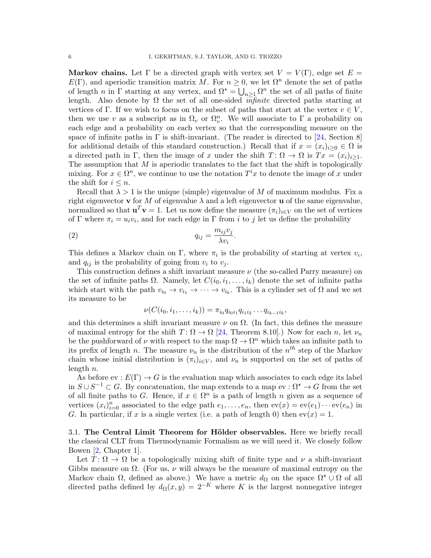Markov chains. Let  $\Gamma$  be a directed graph with vertex set  $V = V(\Gamma)$ , edge set  $E =$  $E(\Gamma)$ , and aperiodic transition matrix M. For  $n \geq 0$ , we let  $\Omega^n$  denote the set of paths of length n in  $\Gamma$  starting at any vertex, and  $\Omega^* = \bigcup_{n\geq 1} \Omega^n$  the set of all paths of finite length. Also denote by  $\Omega$  the set of all one-sided *infinite* directed paths starting at vertices of Γ. If we wish to focus on the subset of paths that start at the vertex  $v \in V$ , then we use v as a subscript as in  $\Omega_v$  or  $\Omega_v^n$ . We will associate to  $\Gamma$  a probability on each edge and a probability on each vertex so that the corresponding measure on the space of infinite paths in  $\Gamma$  is shift-invariant. (The reader is directed to [\[24,](#page-14-2) Section 8] for additional details of this standard construction.) Recall that if  $x = (x_i)_{i\geq 0} \in \Omega$  is a directed path in Γ, then the image of x under the shift  $T: \Omega \to \Omega$  is  $Tx = (x_i)_{i>1}$ . The assumption that  $M$  is aperiodic translates to the fact that the shift is topologically mixing. For  $x \in \Omega^n$ , we continue to use the notation  $T^i x$  to denote the image of x under the shift for  $i \leq n$ .

Recall that  $\lambda > 1$  is the unique (simple) eigenvalue of M of maximum modulus. Fix a right eigenvector **v** for M of eigenvalue  $\lambda$  and a left eigenvector **u** of the same eigenvalue, normalized so that  $\mathbf{u}^T \mathbf{v} = 1$ . Let us now define the measure  $(\pi_i)_{i \in V}$  on the set of vertices of  $\Gamma$  where  $\pi_i = u_i v_i$ , and for each edge in  $\Gamma$  from i to j let us define the probability

$$
q_{ij} = \frac{m_{ij}v_j}{\lambda v_i}.
$$

This defines a Markov chain on  $\Gamma$ , where  $\pi_i$  is the probability of starting at vertex  $v_i$ , and  $q_{ij}$  is the probability of going from  $v_i$  to  $v_j$ .

This construction defines a shift invariant measure  $\nu$  (the so-called Parry measure) on the set of infinite paths  $\Omega$ . Namely, let  $C(i_0, i_1, \ldots, i_k)$  denote the set of infinite paths which start with the path  $v_{i_0} \to v_{i_1} \to \cdots \to v_{i_k}$ . This is a cylinder set of  $\Omega$  and we set its measure to be

<span id="page-5-0"></span>
$$
\nu(C(i_0,i_1,\ldots,i_k))=\pi_{i_0}q_{i_0i_1}q_{i_1i_2}\ldots q_{i_{k-1}i_k},
$$

and this determines a shift invariant measure  $\nu$  on  $\Omega$ . (In fact, this defines the measure of maximal entropy for the shift  $T: \Omega \to \Omega$  [\[24,](#page-14-2) Theorem 8.10].) Now for each n, let  $\nu_n$ be the pushforward of  $\nu$  with respect to the map  $\Omega \to \Omega^n$  which takes an infinite path to its prefix of length n. The measure  $\nu_n$  is the distribution of the  $n^{th}$  step of the Markov chain whose initial distribution is  $(\pi_i)_{i\in V}$ , and  $\nu_n$  is supported on the set of paths of length n.

As before ev :  $E(\Gamma) \rightarrow G$  is the evaluation map which associates to each edge its label in  $S \cup S^{-1} \subset G$ . By concatenation, the map extends to a map ev :  $\Omega^* \to G$  from the set of all finite paths to G. Hence, if  $x \in \Omega^n$  is a path of length n given as a sequence of vertices  $(x_i)_{i=0}^n$  associated to the edge path  $e_1, \ldots, e_n$ , then  $ev(x) = ev(e_1) \cdots ev(e_n)$  in G. In particular, if x is a single vertex (i.e. a path of length 0) then  $ev(x) = 1$ .

3.1. The Central Limit Theorem for Hölder observables. Here we briefly recall the classical CLT from Thermodynamic Formalism as we will need it. We closely follow Bowen [\[2,](#page-13-3) Chapter 1].

Let  $T: \Omega \to \Omega$  be a topologically mixing shift of finite type and  $\nu$  a shift-invariant Gibbs measure on  $\Omega$ . (For us,  $\nu$  will always be the measure of maximal entropy on the Markov chain  $\Omega$ , defined as above.) We have a metric  $d_{\Omega}$  on the space  $\Omega^* \cup \Omega$  of all directed paths defined by  $d_{\Omega}(x, y) = 2^{-K}$  where K is the largest nonnegative integer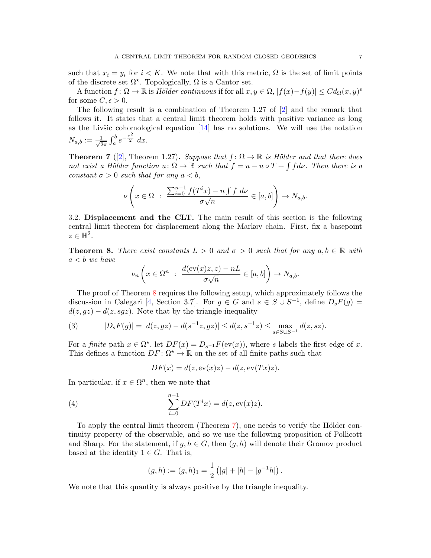such that  $x_i = y_i$  for  $i < K$ . We note that with this metric,  $\Omega$  is the set of limit points of the discrete set  $\Omega^*$ . Topologically,  $\Omega$  is a Cantor set.

A function  $f: \Omega \to \mathbb{R}$  is Hölder continuous if for all  $x, y \in \Omega$ ,  $|f(x)-f(y)| \leq C d_{\Omega}(x, y)^{\epsilon}$ for some  $C, \epsilon > 0$ .

The following result is a combination of Theorem 1.27 of [\[2\]](#page-13-3) and the remark that follows it. It states that a central limit theorem holds with positive variance as long as the Livšic cohomological equation  $[14]$  has no solutions. We will use the notation  $N_{a,b} := \frac{1}{\sqrt{2}}$  $\frac{1}{2\pi} \int_{a}^{b} e^{-\frac{x^2}{2}} dx.$ 

<span id="page-6-1"></span>**Theorem 7** ([\[2\]](#page-13-3), Theorem 1.27). Suppose that  $f: \Omega \to \mathbb{R}$  is Hölder and that there does not exist a Hölder function  $u: \Omega \to \mathbb{R}$  such that  $f = u - u \circ T + \int f d\nu$ . Then there is a constant  $\sigma > 0$  such that for any  $a < b$ ,

$$
\nu\left(x\in\Omega\;:\;\frac{\sum_{i=0}^{n-1}f(T^ix)-n\int f\;d\nu}{\sigma\sqrt{n}}\in[a,b]\right)\to N_{a,b}.
$$

3.2. Displacement and the CLT. The main result of this section is the following central limit theorem for displacement along the Markov chain. First, fix a basepoint  $z \in \mathbb{H}^2$ .

<span id="page-6-0"></span>**Theorem 8.** There exist constants  $L > 0$  and  $\sigma > 0$  such that for any  $a, b \in \mathbb{R}$  with  $a < b$  we have

$$
\nu_n\left(x \in \Omega^n \; : \; \frac{d(\mathrm{ev}(x)z, z) - nL}{\sigma\sqrt{n}} \in [a, b]\right) \to N_{a,b}.
$$

The proof of Theorem [8](#page-6-0) requires the following setup, which approximately follows the discussion in Calegari [\[4,](#page-13-5) Section 3.7]. For  $g \in G$  and  $s \in S \cup S^{-1}$ , define  $D_sF(g)$  =  $d(z, gz) - d(z, sgz)$ . Note that by the triangle inequality

<span id="page-6-2"></span>(3) 
$$
|D_s F(g)| = |d(z, gz) - d(s^{-1}z, gz)| \le d(z, s^{-1}z) \le \max_{s \in S \cup S^{-1}} d(z, sz).
$$

For a finite path  $x \in \Omega^*$ , let  $DF(x) = D_{s^{-1}}F(\text{ev}(x))$ , where s labels the first edge of x. This defines a function  $DF: \Omega^* \to \mathbb{R}$  on the set of all finite paths such that

$$
DF(x) = d(z, \operatorname{ev}(x)z) - d(z, \operatorname{ev}(Tx)z).
$$

In particular, if  $x \in \Omega^n$ , then we note that

<span id="page-6-3"></span>(4) 
$$
\sum_{i=0}^{n-1} DF(T^i x) = d(z, \text{ev}(x)z).
$$

To apply the central limit theorem (Theorem [7\)](#page-6-1), one needs to verify the Hölder continuity property of the observable, and so we use the following proposition of Pollicott and Sharp. For the statement, if  $g, h \in G$ , then  $(g, h)$  will denote their Gromov product based at the identity  $1 \in G$ . That is,

$$
(g,h) := (g,h)_1 = \frac{1}{2} (|g| + |h| - |g^{-1}h|).
$$

We note that this quantity is always positive by the triangle inequality.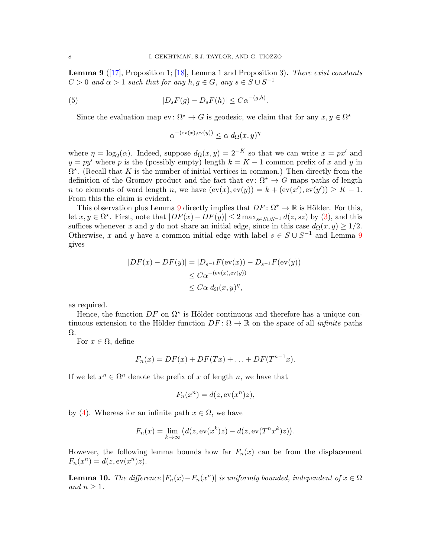<span id="page-7-0"></span>**Lemma 9** ( $\overline{17}$ , Proposition 1;  $\overline{18}$ , Lemma 1 and Proposition 3). There exist constants  $C > 0$  and  $\alpha > 1$  such that for any  $h, g \in G$ , any  $s \in S \cup S^{-1}$ 

(5) 
$$
|D_sF(g) - D_sF(h)| \leq C\alpha^{-(g,h)}.
$$

Since the evaluation map  $ev: \Omega^* \to G$  is geodesic, we claim that for any  $x, y \in \Omega^*$ 

$$
\alpha^{-(ev(x), ev(y))} \le \alpha \, d_{\Omega}(x, y)^{\eta}
$$

where  $\eta = \log_2(\alpha)$ . Indeed, suppose  $d_{\Omega}(x, y) = 2^{-K}$  so that we can write  $x = px'$  and  $y = py'$  where p is the (possibly empty) length  $k = K - 1$  common prefix of x and y in  $\Omega^*$ . (Recall that K is the number of initial vertices in common.) Then directly from the definition of the Gromov product and the fact that  $ev: \Omega^* \to G$  maps paths of length *n* to elements of word length *n*, we have  $\text{ev}(x), \text{ev}(y)) = k + \text{ev}(x'), \text{ev}(y')) \geq K - 1.$ From this the claim is evident.

This observation plus Lemma [9](#page-7-0) directly implies that  $DF: \Omega^* \to \mathbb{R}$  is Hölder. For this, let  $x, y \in \Omega^*$ . First, note that  $|DF(x) - DF(y)| \leq 2 \max_{s \in S \cup S^{-1}} d(z, sz)$  by [\(3\)](#page-6-2), and this suffices whenever x and y do not share an initial edge, since in this case  $d_{\Omega}(x, y) \geq 1/2$ . Otherwise, x and y have a common initial edge with label  $s \in S \cup S^{-1}$  and Lemma [9](#page-7-0) gives

$$
|DF(x) - DF(y)| = |D_{s^{-1}}F(\text{ev}(x)) - D_{s^{-1}}F(\text{ev}(y))|
$$
  

$$
\leq C\alpha^{-(\text{ev}(x), \text{ev}(y))}
$$
  

$$
\leq C\alpha \, d_{\Omega}(x, y)^{\eta},
$$

as required.

Hence, the function  $DF$  on  $\Omega^*$  is Hölder continuous and therefore has a unique continuous extension to the Hölder function  $DF: \Omega \to \mathbb{R}$  on the space of all *infinite* paths Ω.

For  $x \in \Omega$ , define

$$
F_n(x) = DF(x) + DF(Tx) + \ldots + DF(T^{n-1}x).
$$

If we let  $x^n \in \Omega^n$  denote the prefix of x of length n, we have that

$$
F_n(x^n) = d(z, \operatorname{ev}(x^n)z),
$$

by [\(4\)](#page-6-3). Whereas for an infinite path  $x \in \Omega$ , we have

$$
F_n(x) = \lim_{k \to \infty} \left( d(z, \text{ev}(x^k)z) - d(z, \text{ev}(T^n x^k)z) \right).
$$

However, the following lemma bounds how far  $F_n(x)$  can be from the displacement  $F_n(x^n) = d(z, \operatorname{ev}(x^n)z).$ 

<span id="page-7-1"></span>**Lemma 10.** The difference  $|F_n(x) - F_n(x^n)|$  is uniformly bounded, independent of  $x \in \Omega$ and  $n \geq 1$ .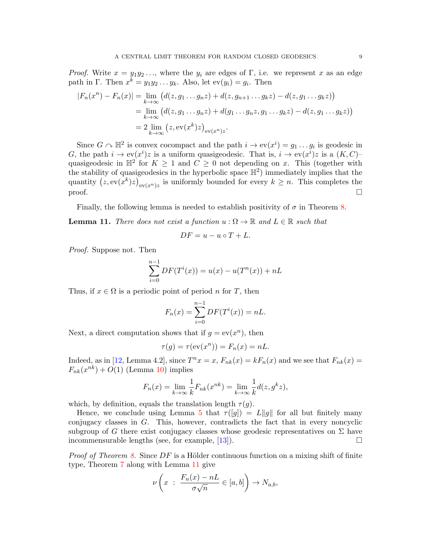*Proof.* Write  $x = y_1y_2...$ , where the  $y_i$  are edges of Γ, i.e. we represent x as an edge path in Γ. Then  $x^k = y_1 y_2 \dots y_k$ . Also, let  $ev(y_i) = g_i$ . Then

$$
|F_n(x^n) - F_n(x)| = \lim_{k \to \infty} (d(z, g_1 \dots g_n z) + d(z, g_{n+1} \dots g_k z) - d(z, g_1 \dots g_k z))
$$
  
= 
$$
\lim_{k \to \infty} (d(z, g_1 \dots g_n z) + d(g_1 \dots g_n z, g_1 \dots g_k z) - d(z, g_1 \dots g_k z))
$$
  
= 
$$
2 \lim_{k \to \infty} (z, \text{ev}(x^k) z)_{\text{ev}(x^n)z}.
$$

Since  $G \cap \mathbb{H}^2$  is convex cocompact and the path  $i \to \text{ev}(x^i) = g_1 \dots g_i$  is geodesic in G, the path  $i \to \text{ev}(x^i)z$  is a uniform quasigeodesic. That is,  $i \to \text{ev}(x^i)z$  is a  $(K, C)$ quasigeodesic in  $\mathbb{H}^2$  for  $K \geq 1$  and  $C \geq 0$  not depending on x. This (together with the stability of quasigeodesics in the hyperbolic space  $\mathbb{H}^2$ ) immediately implies that the quantity  $(z, \text{ev}(x^k)z)_{\text{ev}(x^n)z}$  is uniformly bounded for every  $k \geq n$ . This completes the proof.

Finally, the following lemma is needed to establish positivity of  $\sigma$  in Theorem [8.](#page-6-0)

<span id="page-8-0"></span>**Lemma 11.** There does not exist a function  $u : \Omega \to \mathbb{R}$  and  $L \in \mathbb{R}$  such that

$$
DF = u - u \circ T + L.
$$

Proof. Suppose not. Then

$$
\sum_{i=0}^{n-1} DF(T^{i}(x)) = u(x) - u(T^{n}(x)) + nL
$$

Thus, if  $x \in \Omega$  is a periodic point of period n for T, then

$$
F_n(x) = \sum_{i=0}^{n-1} DF(T^i(x)) = nL.
$$

Next, a direct computation shows that if  $g = \text{ev}(x^n)$ , then

$$
\tau(g) = \tau(\mathrm{ev}(x^n)) = F_n(x) = nL.
$$

Indeed, as in [\[12,](#page-13-15) Lemma 4.2], since  $T^n x = x$ ,  $F_{nk}(x) = kF_n(x)$  and we see that  $F_{nk}(x) =$  $F_{nk}(x^{nk}) + O(1)$  (Lemma [10\)](#page-7-1) implies

$$
F_n(x) = \lim_{k \to \infty} \frac{1}{k} F_{nk}(x^{nk}) = \lim_{k \to \infty} \frac{1}{k} d(z, g^k z),
$$

which, by definition, equals the translation length  $\tau(q)$ .

Hence, we conclude using Lemma [5](#page-3-0) that  $\tau([g]) = L||g||$  for all but finitely many conjugacy classes in G. This, however, contradicts the fact that in every noncyclic subgroup of G there exist conjugacy classes whose geodesic representatives on  $\Sigma$  have incommensurable lengths (see, for example, [\[13\]](#page-13-16)).  $\square$ 

*Proof of Theorem [8.](#page-6-0)* Since  $DF$  is a Hölder continuous function on a mixing shift of finite type, Theorem [7](#page-6-1) along with Lemma [11](#page-8-0) give

$$
\nu\left(x \; : \; \frac{F_n(x) - nL}{\sigma\sqrt{n}} \in [a, b]\right) \to N_{a,b},
$$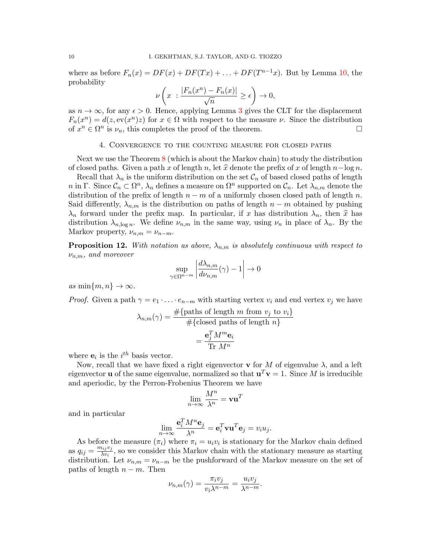where as before  $F_n(x) = DF(x) + DF(Tx) + \ldots + DF(T^{n-1}x)$ . But by Lemma [10,](#page-7-1) the probability

$$
\nu\left(x \ : \frac{|F_n(x^n) - F_n(x)|}{\sqrt{n}} \ge \epsilon\right) \to 0,
$$

as  $n \to \infty$ , for any  $\epsilon > 0$ . Hence, applying Lemma [3](#page-2-0) gives the CLT for the displacement  $F_n(x^n) = d(z, \text{ev}(x^n)z)$  for  $x \in \Omega$  with respect to the measure  $\nu$ . Since the distribution of  $x^n \in \Omega^n$  is  $\nu_n$ , this completes the proof of the theorem.

### 4. Convergence to the counting measure for closed paths

Next we use the Theorem [8](#page-6-0) (which is about the Markov chain) to study the distribution of closed paths. Given a path x of length n, let  $\hat{x}$  denote the prefix of x of length  $n-\log n$ .

Recall that  $\lambda_n$  is the uniform distribution on the set  $\mathcal{C}_n$  of based closed paths of length n in Γ. Since  $\mathcal{C}_n \subset \Omega^n$ ,  $\lambda_n$  defines a measure on  $\Omega^n$  supported on  $\mathcal{C}_n$ . Let  $\lambda_{n,m}$  denote the distribution of the prefix of length  $n - m$  of a uniformly chosen closed path of length n. Said differently,  $\lambda_{n,m}$  is the distribution on paths of length  $n-m$  obtained by pushing  $\lambda_n$  forward under the prefix map. In particular, if x has distribution  $\lambda_n$ , then  $\hat{x}$  has distribution  $\lambda_{n,\log n}$ . We define  $\nu_{n,m}$  in the same way, using  $\nu_n$  in place of  $\lambda_n$ . By the Markov property,  $\nu_{n,m} = \nu_{n-m}$ .

<span id="page-9-0"></span>**Proposition 12.** With notation as above,  $\lambda_{n,m}$  is absolutely continuous with respect to  $\nu_{n,m}$ , and moreover

$$
\sup_{\gamma \in \Omega^{n-m}} \left| \frac{d\lambda_{n,m}}{d\nu_{n,m}}(\gamma) - 1 \right| \to 0
$$

as  $\min\{m, n\} \to \infty$ .

*Proof.* Given a path  $\gamma = e_1 \cdot \ldots \cdot e_{n-m}$  with starting vertex  $v_i$  and end vertex  $v_j$  we have

$$
\lambda_{n,m}(\gamma) = \frac{\#\{\text{paths of length } m \text{ from } v_j \text{ to } v_i\}}{\#\{\text{closed paths of length } n\}} \\
= \frac{\mathbf{e}_j^T M^m \mathbf{e}_i}{\text{Tr } M^n}
$$

where  $e_i$  is the  $i^{th}$  basis vector.

Now, recall that we have fixed a right eigenvector **v** for M of eigenvalue  $\lambda$ , and a left eigenvector **u** of the same eigenvalue, normalized so that  $\mathbf{u}^T \mathbf{v} = 1$ . Since M is irreducible and aperiodic, by the Perron-Frobenius Theorem we have

$$
\lim_{n\to\infty}\frac{M^n}{\lambda^n}=\mathbf{v}\mathbf{u}^T
$$

and in particular

$$
\lim_{n \to \infty} \frac{\mathbf{e}_i^T M^n \mathbf{e}_j}{\lambda^n} = \mathbf{e}_i^T \mathbf{v} \mathbf{u}^T \mathbf{e}_j = v_i u_j.
$$

As before the measure  $(\pi_i)$  where  $\pi_i = u_i v_i$  is stationary for the Markov chain defined as  $q_{ij} = \frac{m_{ij}v_j}{\lambda v_i}$  $\frac{\partial u_j v_j}{\partial v_i}$ , so we consider this Markov chain with the stationary measure as starting distribution. Let  $\nu_{n,m} = \nu_{n-m}$  be the pushforward of the Markov measure on the set of paths of length  $n - m$ . Then

$$
\nu_{n,m}(\gamma) = \frac{\pi_i v_j}{v_i \lambda^{n-m}} = \frac{u_i v_j}{\lambda^{n-m}}.
$$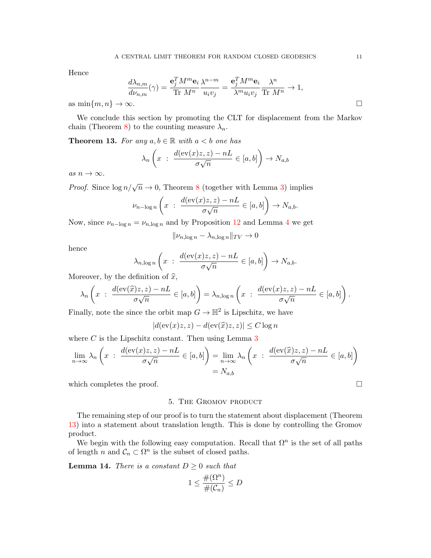Hence

$$
\frac{d\lambda_{n,m}}{d\nu_{n,m}}(\gamma) = \frac{\mathbf{e}_j^T M^m \mathbf{e}_i}{\text{Tr } M^n} \frac{\lambda^{n-m}}{u_i v_j} = \frac{\mathbf{e}_j^T M^m \mathbf{e}_i}{\lambda^m u_i v_j} \frac{\lambda^n}{\text{Tr } M^n} \to 1,
$$
  
\$\sim\$ .

as  $\min\{m, n\} \rightarrow$ 

We conclude this section by promoting the CLT for displacement from the Markov chain (Theorem [8\)](#page-6-0) to the counting measure  $\lambda_n$ .

<span id="page-10-0"></span>**Theorem 13.** For any  $a, b \in \mathbb{R}$  with  $a < b$  one has

$$
\lambda_n\left(x \; : \; \frac{d(\mathrm{ev}(x)z,z) - nL}{\sigma\sqrt{n}} \in [a,b]\right) \to N_{a,b}
$$

as  $n \to \infty$ .

*Proof.* Since  $\log n/\sqrt{n} \to 0$ , Theorem [8](#page-6-0) (together with Lemma [3\)](#page-2-0) implies

$$
\nu_{n-\log n}\left(x \; : \; \frac{d(\mathrm{ev}(x)z,z) - nL}{\sigma\sqrt{n}} \in [a,b]\right) \to N_{a,b}.
$$

Now, since  $\nu_{n-\log n} = \nu_{n,\log n}$  and by Proposition [12](#page-9-0) and Lemma [4](#page-2-1) we get

$$
\|\nu_{n,\log n} - \lambda_{n,\log n}\|_{TV} \to 0
$$

hence

$$
\lambda_{n,\log n}\left(x \; : \; \frac{d(\mathrm{ev}(x)z,z) - nL}{\sigma\sqrt{n}} \in [a,b]\right) \to N_{a,b}.
$$

Moreover, by the definition of  $\hat{x}$ ,

$$
\lambda_n\left(x \ : \ \frac{d(\mathrm{ev}(\widehat{x})z,z)-nL}{\sigma\sqrt{n}} \in [a,b]\right)=\lambda_{n,\log n}\left(x \ : \ \frac{d(\mathrm{ev}(x)z,z)-nL}{\sigma\sqrt{n}} \in [a,b]\right).
$$

Finally, note the since the orbit map  $G \to \mathbb{H}^2$  is Lipschitz, we have

$$
|d(\mathrm{ev}(x)z, z) - d(\mathrm{ev}(\widehat{x})z, z)| \le C \log n
$$

where  $C$  is the Lipschitz constant. Then using Lemma  $3$ 

$$
\lim_{n \to \infty} \lambda_n \left( x \ : \ \frac{d(\mathrm{ev}(x)z, z) - nL}{\sigma \sqrt{n}} \in [a, b] \right) = \lim_{n \to \infty} \lambda_n \left( x \ : \ \frac{d(\mathrm{ev}(\widehat{x})z, z) - nL}{\sigma \sqrt{n}} \in [a, b] \right)
$$
\n
$$
= N_{a,b}
$$

which completes the proof.  $\Box$ 

## 5. The Gromov product

The remaining step of our proof is to turn the statement about displacement (Theorem [13\)](#page-10-0) into a statement about translation length. This is done by controlling the Gromov product.

We begin with the following easy computation. Recall that  $\Omega^n$  is the set of all paths of length n and  $C_n \subset \Omega^n$  is the subset of closed paths.

<span id="page-10-1"></span>**Lemma 14.** There is a constant  $D \geq 0$  such that

$$
1\leq \frac{\#(\Omega^n)}{\#(\mathcal{C}_n)}\leq D
$$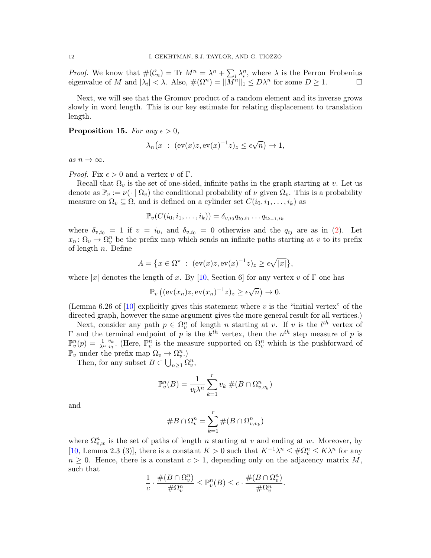*Proof.* We know that  $\#(\mathcal{C}_n) = \text{Tr } M^n = \lambda^n + \sum_i \lambda_i^n$ , where  $\lambda$  is the Perron–Frobenius eigenvalue of M and  $|\lambda_i| < \lambda$ . Also,  $\#(\Omega^n) = ||\overline{M}^n||_1 \leq D\lambda^n$  for some  $D \geq 1$ .

Next, we will see that the Gromov product of a random element and its inverse grows slowly in word length. This is our key estimate for relating displacement to translation length.

<span id="page-11-0"></span>Proposition 15. For any  $\epsilon > 0$ ,

$$
\lambda_n(x \ : \ (\text{ev}(x)z, \text{ev}(x)^{-1}z)_z \le \epsilon \sqrt{n}) \to 1,
$$

as  $n \to \infty$ .

*Proof.* Fix  $\epsilon > 0$  and a vertex v of  $\Gamma$ .

Recall that  $\Omega_v$  is the set of one-sided, infinite paths in the graph starting at v. Let us denote as  $\mathbb{P}_v := \nu(\cdot \mid \Omega_v)$  the conditional probability of  $\nu$  given  $\Omega_v$ . This is a probability measure on  $\Omega_v \subseteq \Omega$ , and is defined on a cylinder set  $C(i_0, i_1, \ldots, i_k)$  as

$$
\mathbb{P}_{v}(C(i_0,i_1,\ldots,i_k))=\delta_{v,i_0}q_{i_0,i_1}\ldots q_{i_{k-1},i_k}
$$

where  $\delta_{v,i_0} = 1$  if  $v = i_0$ , and  $\delta_{v,i_0} = 0$  otherwise and the  $q_{ij}$  are as in [\(2\)](#page-5-0). Let  $x_n: \Omega_v \to \Omega_v^n$  be the prefix map which sends an infinite paths starting at v to its prefix of length  $n$ . Define

$$
A = \{ x \in \Omega^\star \; : \; (\text{ev}(x)z, \text{ev}(x)^{-1}z)_z \ge \epsilon \sqrt{|x|} \},
$$

where |x| denotes the length of x. By [\[10,](#page-13-6) Section 6] for any vertex v of  $\Gamma$  one has

$$
\mathbb{P}_v\left((\mathrm{ev}(x_n)z,\mathrm{ev}(x_n)^{-1}z)_z\geq \epsilon\sqrt{n}\right)\to 0.
$$

(Lemma 6.26 of  $[10]$  explicitly gives this statement where v is the "initial vertex" of the directed graph, however the same argument gives the more general result for all vertices.)

Next, consider any path  $p \in \Omega_v^n$  of length n starting at v. If v is the  $l^{th}$  vertex of Γ and the terminal endpoint of p is the  $k<sup>th</sup>$  vertex, then the  $n<sup>th</sup>$  step measure of p is  $\mathbb{P}_{v}^{n}(p) = \frac{1}{\lambda^{n}} \frac{v_{k}}{v_{l}}$  $\frac{v_k}{v_l}$ . (Here,  $\mathbb{P}_v^n$  is the measure supported on  $\Omega_v^n$  which is the pushforward of  $\mathbb{P}_v$  under the prefix map  $\Omega_v \to \Omega_v^n$ .

Then, for any subset  $B \subset \bigcup_{n \geq 1} \Omega_v^n$ ,

$$
\mathbb{P}_v^n(B) = \frac{1}{v_l \lambda^n} \sum_{k=1}^r v_k \#(B \cap \Omega_{v,v_k}^n)
$$

and

$$
\#B\cap\Omega_v^n=\sum_{k=1}^r\#(B\cap\Omega_{v,v_k}^n)
$$

where  $\Omega_{v,w}^n$  is the set of paths of length n starting at v and ending at w. Moreover, by [\[10,](#page-13-6) Lemma 2.3 (3)], there is a constant  $K > 0$  such that  $K^{-1}\lambda^n \leq \#\Omega^n_v \leq K\lambda^n$  for any  $n \geq 0$ . Hence, there is a constant  $c > 1$ , depending only on the adjacency matrix M, such that

$$
\frac{1}{c} \cdot \frac{\#(B \cap \Omega_v^n)}{\#\Omega_v^n} \le \mathbb{P}_v^n(B) \le c \cdot \frac{\#(B \cap \Omega_v^n)}{\#\Omega_v^n}.
$$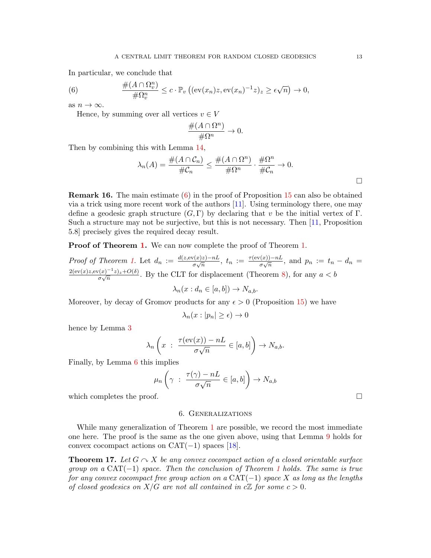In particular, we conclude that

<span id="page-12-0"></span>(6) 
$$
\frac{\#(A \cap \Omega_v^n)}{\#\Omega_v^n} \leq c \cdot \mathbb{P}_v \left( (\text{ev}(x_n)z, \text{ev}(x_n)^{-1}z)_z \geq \epsilon \sqrt{n} \right) \to 0,
$$

as  $n \to \infty$ .

Hence, by summing over all vertices  $v \in V$ 

$$
\frac{\#(A\cap \Omega^n)}{\#\Omega^n}\to 0.
$$

Then by combining this with Lemma [14,](#page-10-1)

$$
\lambda_n(A) = \frac{\#(A \cap C_n)}{\#C_n} \le \frac{\#(A \cap \Omega^n)}{\# \Omega^n} \cdot \frac{\# \Omega^n}{\#C_n} \to 0.
$$

Remark 16. The main estimate [\(6\)](#page-12-0) in the proof of Proposition [15](#page-11-0) can also be obtained via a trick using more recent work of the authors [\[11\]](#page-13-17). Using terminology there, one may define a geodesic graph structure  $(G, \Gamma)$  by declaring that v be the initial vertex of  $\Gamma$ . Such a structure may not be surjective, but this is not necessary. Then [\[11,](#page-13-17) Proposition 5.8] precisely gives the required decay result.

Proof of Theorem [1.](#page-0-0) We can now complete the proof of Theorem 1.

Proof of Theorem [1.](#page-0-0) Let  $d_n := \frac{d(z, ev(x)z) - nL}{g_n \sqrt{n}}$  $\frac{\tau(x)z)-nL}{\sigma\sqrt{n}}$ ,  $t_n := \frac{\tau(\mathrm{ev}(x))-nL}{\sigma\sqrt{n}}$  $\frac{\sigma(\mathbf{x})-nL}{\sigma\sqrt{n}}$ , and  $p_n := t_n - d_n =$  $2(\text{ev}(x)z,\text{ev}(x)^{-1}z)z+O(\delta)$  $\frac{\Gamma(x)-\Gamma(z)+O(\delta)}{\sigma\sqrt{n}}$ . By the CLT for displacement (Theorem [8\)](#page-6-0), for any  $a < b$ 

 $\lambda_n(x : d_n \in [a, b]) \to N_{a,b}.$ 

Moreover, by decay of Gromov products for any  $\epsilon > 0$  (Proposition [15\)](#page-11-0) we have

$$
\lambda_n(x:|p_n|\geq\epsilon)\to 0
$$

hence by Lemma [3](#page-2-0)

$$
\lambda_n\left(x \; : \; \frac{\tau(\mathrm{ev}(x))-nL}{\sigma\sqrt{n}} \in [a,b]\right) \to N_{a,b}.
$$

Finally, by Lemma [6](#page-4-0) this implies

$$
\mu_n\left(\gamma\;:\;\frac{\tau(\gamma)-nL}{\sigma\sqrt{n}}\in[a,b]\right)\to N_{a,b}
$$

which completes the proof.  $\Box$ 

#### 6. Generalizations

While many generalization of Theorem [1](#page-0-0) are possible, we record the most immediate one here. The proof is the same as the one given above, using that Lemma [9](#page-7-0) holds for convex cocompact actions on  $CAT(-1)$  spaces [\[18\]](#page-13-14).

**Theorem 17.** Let  $G \cap X$  be any convex cocompact action of a closed orientable surface group on a  $CAT(-1)$  $CAT(-1)$  $CAT(-1)$  space. Then the conclusion of Theorem 1 holds. The same is true for any convex cocompact free group action on a  $CAT(-1)$  space X as long as the lengths of closed geodesics on  $X/G$  are not all contained in  $c\mathbb{Z}$  for some  $c > 0$ .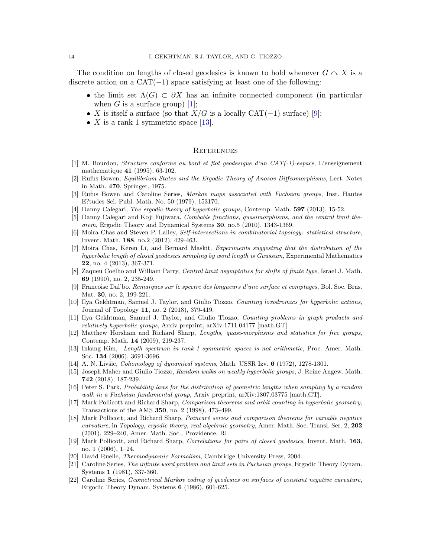The condition on lengths of closed geodesics is known to hold whenever  $G \cap X$  is a discrete action on a  $CAT(-1)$  space satisfying at least one of the following:

- the limit set  $\Lambda(G) \subset \partial X$  has an infinite connected component (in particular when G is a surface group) [\[1\]](#page-13-18);
- X is itself a surface (so that  $X/G$  is a locally  $CAT(-1)$  surface) [\[9\]](#page-13-19);
- X is a rank 1 symmetric space [\[13\]](#page-13-16).

### **REFERENCES**

- <span id="page-13-18"></span>[1] M. Bourdon, Structure conforme au bord et flot geodesique d'un CAT(-1)-espace, L'enseignement mathematique 41 (1995), 63-102.
- <span id="page-13-3"></span>[2] Rufus Bowen, Equilibrium States and the Ergodic Theory of Anosov Diffeomorphisms, Lect. Notes in Math. 470, Springer, 1975.
- <span id="page-13-12"></span>[3] Rufus Bowen and Caroline Series, Markov maps associated with Fuchsian groups, Inst. Hautes E?tudes Sci. Publ. Math. No. 50 (1979), 153170.
- <span id="page-13-5"></span>[4] Danny Calegari, *The ergodic theory of hyperbolic groups*, Contemp. Math. **597** (2013), 15-52.
- [5] Danny Calegari and Koji Fujiwara, Combable functions, quasimorphisms, and the central limit theorem, Ergodic Theory and Dynamical Systems 30, no.5 (2010), 1343-1369.
- <span id="page-13-1"></span>[6] Moira Chas and Steven P. Lalley, Self-intersections in combinatorial topology: statistical structure, Invent. Math. 188, no.2 (2012), 429-463.
- <span id="page-13-0"></span>[7] Moira Chas, Keren Li, and Bernard Maskit, Experiments suggesting that the distribution of the hyperbolic length of closed geodesics sampling by word length is Gaussian, Experimental Mathematics 22, no. 4 (2013), 367-371.
- [8] Zaqueu Coelho and William Parry, Central limit asymptotics for shifts of finite type, Israel J. Math. 69 (1990), no. 2, 235-249.
- <span id="page-13-19"></span>[9] Francoise Dal'bo. Remarques sur le spectre des longueurs d'une surface et comptages, Bol. Soc. Bras. Mat. 30, no. 2, 199-221.
- <span id="page-13-6"></span>[10] Ilya Gekhtman, Samuel J. Taylor, and Giulio Tiozzo, Counting loxodromics for hyperbolic actions, Journal of Topology 11, no. 2 (2018), 379-419.
- <span id="page-13-17"></span>[11] Ilya Gekhtman, Samuel J. Taylor, and Giulio Tiozzo, Counting problems in graph products and relatively hyperbolic groups, Arxiv preprint, arXiv:1711.04177 [math.GT].
- <span id="page-13-15"></span>[12] Matthew Horsham and Richard Sharp, Lengths, quasi-morphisms and statistics for free groups, Contemp. Math. 14 (2009), 219-237.
- <span id="page-13-16"></span>[13] Inkang Kim, Length spectrum in rank-1 symmetric spaces is not arithmetic, Proc. Amer. Math. Soc. 134 (2006), 3691-3696.
- <span id="page-13-13"></span>[14] A. N. Livšic, Cohomology of dynamical systems, Math. USSR Izv.  $6$  (1972), 1278-1301.
- <span id="page-13-10"></span>[15] Joseph Maher and Giulio Tiozzo, Random walks on weakly hyperbolic groups, J. Reine Angew. Math. 742 (2018), 187-239.
- <span id="page-13-9"></span>[16] Peter S. Park, Probability laws for the distribution of geometric lengths when sampling by a random walk in a Fuchsian fundamental group, Arxiv preprint, arXiv:1807.03775 [math.GT].
- <span id="page-13-4"></span>[17] Mark Pollicott and Richard Sharp, Comparison theorems and orbit counting in hyperbolic geometry, Transactions of the AMS 350, no. 2 (1998), 473–499.
- <span id="page-13-14"></span>[18] Mark Pollicott, and Richard Sharp, Poincaré series and comparison theorems for variable negative curvature, in Topology, ergodic theory, real algebraic geometry, Amer. Math. Soc. Transl. Ser. 2, 202 (2001), 229–240, Amer. Math. Soc., Providence, RI.
- <span id="page-13-11"></span>[19] Mark Pollicott, and Richard Sharp, Correlations for pairs of closed geodesics, Invent. Math. 163, no. 1 (2006), 1–24.
- <span id="page-13-2"></span>[20] David Ruelle, Thermodynamic Formalism, Cambridge University Press, 2004.
- <span id="page-13-7"></span>[21] Caroline Series, The infinite word problem and limit sets in Fuchsian groups, Ergodic Theory Dynam. Systems 1 (1981), 337-360.
- <span id="page-13-8"></span>[22] Caroline Series, Geometrical Markov coding of geodesics on surfaces of constant negative curvature, Ergodic Theory Dynam. Systems 6 (1986), 601-625.